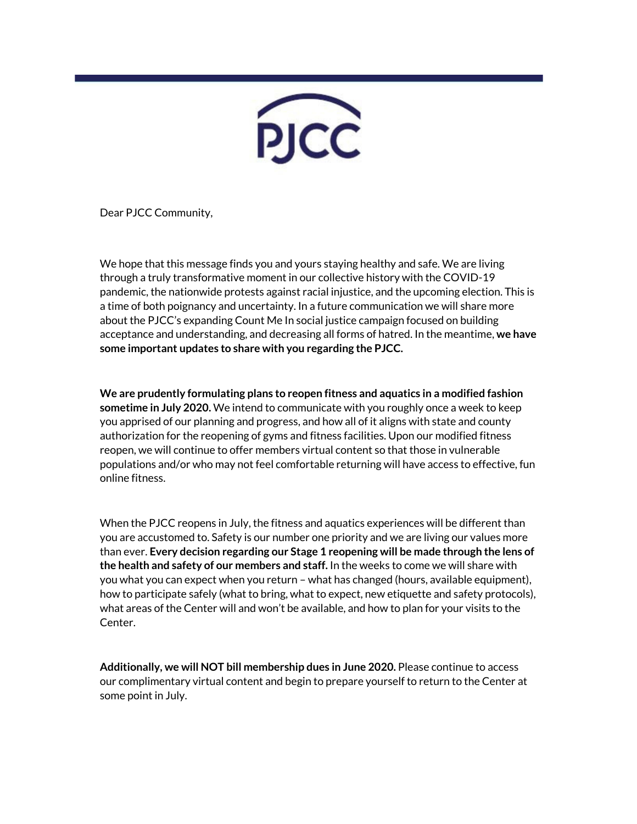

Dear PJCC Community,

We hope that this message finds you and yours staying healthy and safe. We are living through a truly transformative moment in our collective history with the COVID-19 pandemic, the nationwide protests against racial injustice, and the upcoming election. This is a time of both poignancy and uncertainty. In a future communication we will share more about the PJCC's expanding Count Me In social justice campaign focused on building acceptance and understanding, and decreasing all forms of hatred. In the meantime, **we have some important updates to share with you regarding the PJCC.**

**We are prudently formulating plans to reopen fitness and aquatics in a modified fashion sometime in July 2020.** We intend to communicate with you roughly once a week to keep you apprised of our planning and progress, and how all of it aligns with state and county authorization for the reopening of gyms and fitness facilities. Upon our modified fitness reopen, we will continue to offer members virtual content so that those in vulnerable populations and/or who may not feel comfortable returning will have access to effective, fun online fitness.

When the PJCC reopens in July, the fitness and aquatics experiences will be different than you are accustomed to. Safety is our number one priority and we are living our values more than ever. **Every decision regarding our Stage 1 reopening will be made through the lens of the health and safety of our members and staff.** In the weeks to come we will share with you what you can expect when you return – what has changed (hours, available equipment), how to participate safely (what to bring, what to expect, new etiquette and safety protocols), what areas of the Center will and won't be available, and how to plan for your visits to the Center.

**Additionally, we will NOT bill membership dues in June 2020.** Please continue to access our complimentary virtual content and begin to prepare yourself to return to the Center at some point in July.